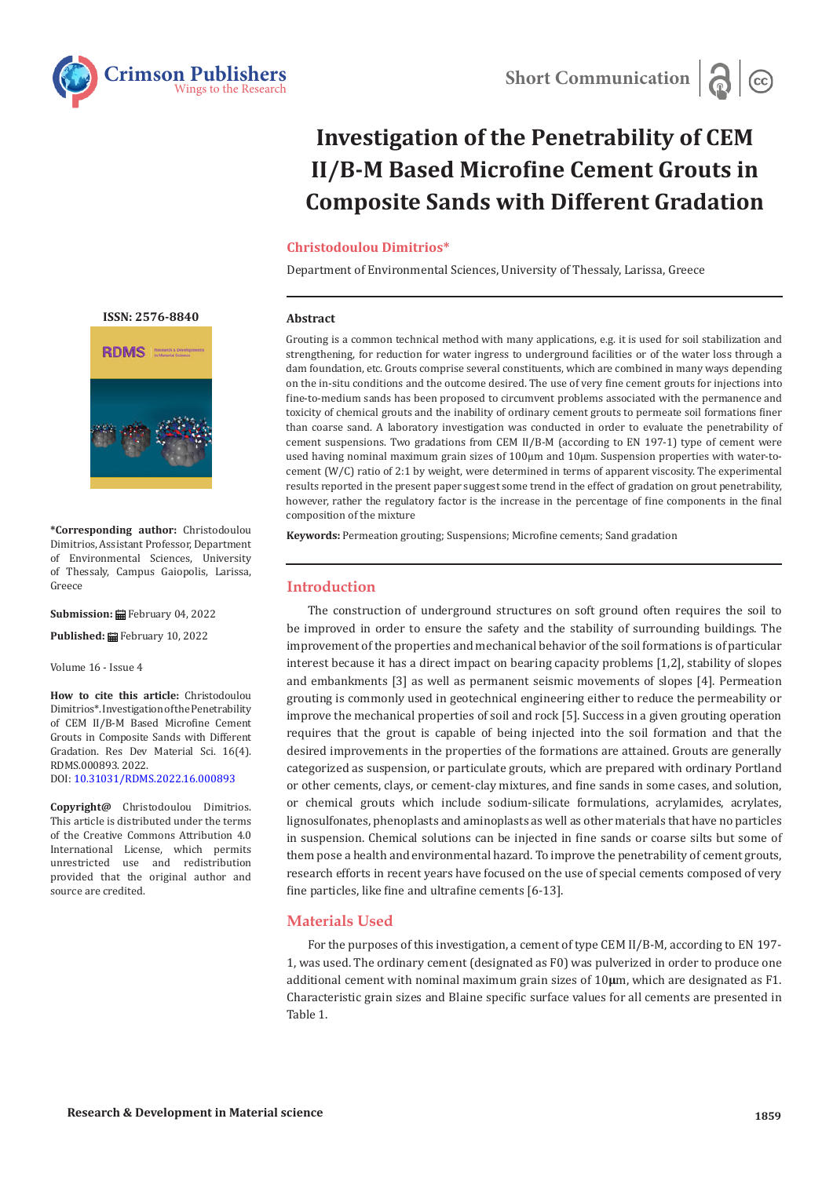

# **Investigation of the Penetrability of CEM II/B-M Based Microfine Cement Grouts in Composite Sands with Different Gradation**

#### **Christodoulou Dimitrios\***

Department of Environmental Sciences, University of Thessaly, Larissa, Greece

#### **Abstract**

Grouting is a common technical method with many applications, e.g. it is used for soil stabilization and strengthening, for reduction for water ingress to underground facilities or of the water loss through a dam foundation, etc. Grouts comprise several constituents, which are combined in many ways depending on the in-situ conditions and the outcome desired. The use of very fine cement grouts for injections into fine-to-medium sands has been proposed to circumvent problems associated with the permanence and toxicity of chemical grouts and the inability of ordinary cement grouts to permeate soil formations finer than coarse sand. A laboratory investigation was conducted in order to evaluate the penetrability of cement suspensions. Two gradations from CEM II/B-M (according to EN 197-1) type of cement were used having nominal maximum grain sizes of 100μm and 10μm. Suspension properties with water-tocement (W/C) ratio of 2:1 by weight, were determined in terms of apparent viscosity. The experimental results reported in the present paper suggest some trend in the effect of gradation on grout penetrability, however, rather the regulatory factor is the increase in the percentage of fine components in the final composition of the mixture

**Keywords:** Permeation grouting; Suspensions; Microfine cements; Sand gradation

# **Introduction**

The construction of underground structures on soft ground often requires the soil to be improved in order to ensure the safety and the stability of surrounding buildings. The improvement of the properties and mechanical behavior of the soil formations is of particular interest because it has a direct impact on bearing capacity problems [1,2], stability of slopes and embankments [3] as well as permanent seismic movements of slopes [4]. Permeation grouting is commonly used in geotechnical engineering either to reduce the permeability or improve the mechanical properties of soil and rock [5]. Success in a given grouting operation requires that the grout is capable of being injected into the soil formation and that the desired improvements in the properties of the formations are attained. Grouts are generally categorized as suspension, or particulate grouts, which are prepared with ordinary Portland or other cements, clays, or cement-clay mixtures, and fine sands in some cases, and solution, or chemical grouts which include sodium-silicate formulations, acrylamides, acrylates, lignosulfonates, phenoplasts and aminoplasts as well as other materials that have no particles in suspension. Chemical solutions can be injected in fine sands or coarse silts but some of them pose a health and environmental hazard. To improve the penetrability of cement grouts, research efforts in recent years have focused on the use of special cements composed of very fine particles, like fine and ultrafine cements [6-13].

# **Materials Used**

For the purposes of this investigation, a cement of type CEM II/B-M, according to EN 197- 1, was used. The ordinary cement (designated as F0) was pulverized in order to produce one additional cement with nominal maximum grain sizes of 10**μ**m, which are designated as F1. Characteristic grain sizes and Blaine specific surface values for all cements are presented in Table 1.

**[ISSN: 2576-8840](https://crimsonpublishers.com/rdms/index.php)**



**\*Corresponding author:** Christodoulou Dimitrios, Assistant Professor, Department of Environmental Sciences, University of Thessaly, Campus Gaiopolis, Larissa, Greece

**Submission:** February 04, 2022

**Published:** February 10, 2022

Volume 16 - Issue 4

**How to cite this article:** Christodoulou Dimitrios\*. Investigation of the Penetrability of CEM II/B-M Based Microfine Cement Grouts in Composite Sands with Different Gradation. Res Dev Material Sci. 16(4). RDMS.000893. 2022. DOI: [10.31031/RDMS.2022.16.00089](http://dx.doi.org/10.31031/RDMS.2022.16.000893)3

**Copyright@** Christodoulou Dimitrios. This article is distributed under the terms of the Creative Commons Attribution 4.0 International License, which permits unrestricted use and redistribution provided that the original author and source are credited.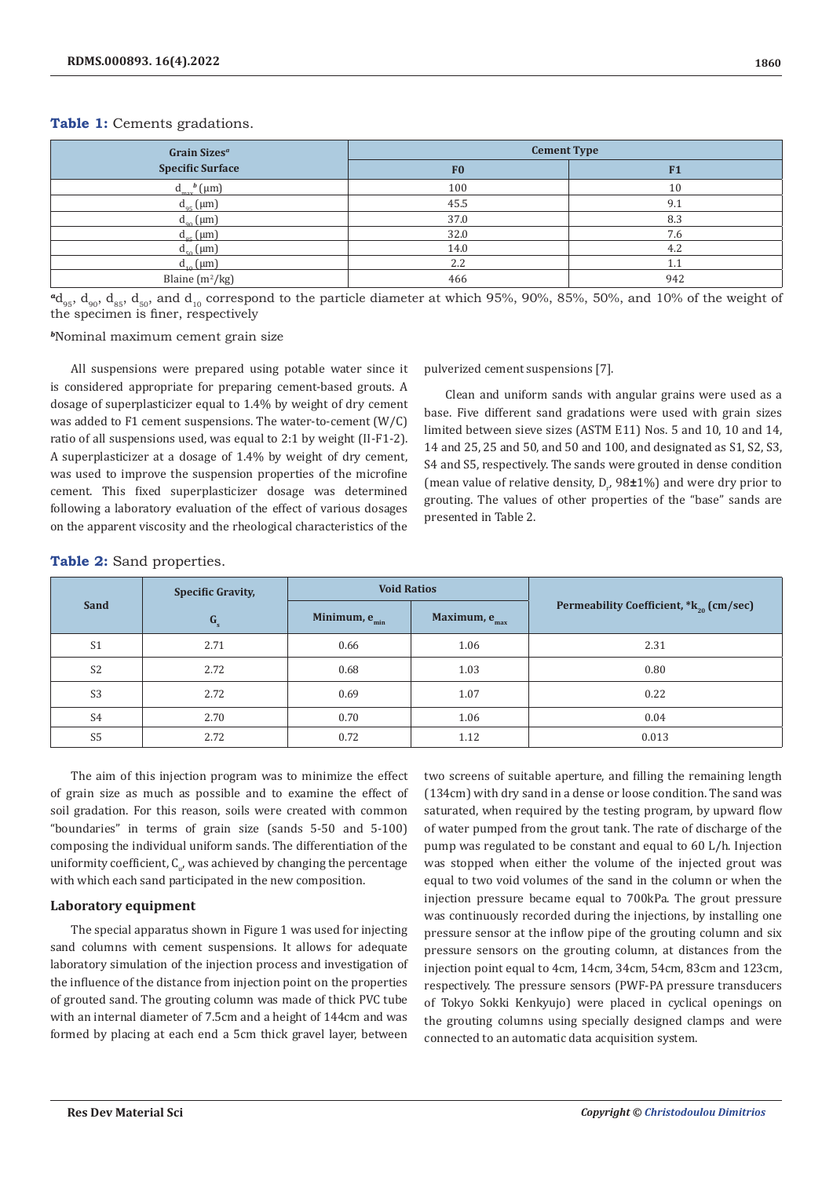# **Table 1:** Cements gradations.

| Grain Sizes <sup>a</sup> | <b>Cement Type</b> |     |  |  |  |
|--------------------------|--------------------|-----|--|--|--|
| <b>Specific Surface</b>  | F <sub>0</sub>     | F1  |  |  |  |
| $d_{max}^b$ (µm)         | 100                | 10  |  |  |  |
| $d_{95}$ (µm)            | 45.5               | 9.1 |  |  |  |
| $d_{90}$ (µm)            | 37.0               | 8.3 |  |  |  |
| $d_{\rm{gs}}$ (µm)       | 32.0               | 7.6 |  |  |  |
| $d_{50}$ (µm)            | 14.0               | 4.2 |  |  |  |
| $d_{10}$ (µm)            | 2.2                | 1.1 |  |  |  |
| Blaine $(m^2/kg)$        | 466                | 942 |  |  |  |

 $^{4}d_{95}$ ,  $d_{90}$ ,  $d_{85}$ ,  $d_{50}$ , and  $d_{10}$  correspond to the particle diameter at which 95%, 90%, 85%, 50%, and 10% of the weight of the specimen is finer, respectively

*<sup>b</sup>*Nominal maximum cement grain size

All suspensions were prepared using potable water since it is considered appropriate for preparing cement-based grouts. A dosage of superplasticizer equal to 1.4% by weight of dry cement was added to F1 cement suspensions. The water-to-cement (W/C) ratio of all suspensions used, was equal to 2:1 by weight (II-F1-2). A superplasticizer at a dosage of 1.4% by weight of dry cement, was used to improve the suspension properties of the microfine cement. This fixed superplasticizer dosage was determined following a laboratory evaluation of the effect of various dosages on the apparent viscosity and the rheological characteristics of the

pulverized cement suspensions [7].

Clean and uniform sands with angular grains were used as a base. Five different sand gradations were used with grain sizes limited between sieve sizes (ASTM E11) Nos. 5 and 10, 10 and 14, 14 and 25, 25 and 50, and 50 and 100, and designated as S1, S2, S3, S4 and S5, respectively. The sands were grouted in dense condition (mean value of relative density,  $D_{r}$ , 98 $\pm$ 1%) and were dry prior to grouting. The values of other properties of the "base" sands are presented in Table 2.

# **Table 2:** Sand properties.

| Sand           | <b>Void Ratios</b><br><b>Specific Gravity,</b> |                           |                           |                                                     |  |  |
|----------------|------------------------------------------------|---------------------------|---------------------------|-----------------------------------------------------|--|--|
|                | G <sub>s</sub>                                 | Minimum, e <sub>min</sub> | Maximum, e <sub>max</sub> | Permeability Coefficient, *k <sub>20</sub> (cm/sec) |  |  |
| S <sub>1</sub> | 2.71                                           | 0.66                      | 1.06                      | 2.31                                                |  |  |
| S <sub>2</sub> | 2.72                                           | 0.68                      | 1.03                      | 0.80                                                |  |  |
| S <sub>3</sub> | 2.72                                           | 0.69                      | 1.07                      | 0.22                                                |  |  |
| S <sub>4</sub> | 2.70                                           | 0.70                      | 1.06                      | 0.04                                                |  |  |
| S <sub>5</sub> | 2.72                                           | 0.72                      | 1.12                      | 0.013                                               |  |  |

The aim of this injection program was to minimize the effect of grain size as much as possible and to examine the effect of soil gradation. For this reason, soils were created with common "boundaries" in terms of grain size (sands 5-50 and 5-100) composing the individual uniform sands. The differentiation of the uniformity coefficient,  $C_{u'}$ , was achieved by changing the percentage with which each sand participated in the new composition.

# **Laboratory equipment**

The special apparatus shown in Figure 1 was used for injecting sand columns with cement suspensions. It allows for adequate laboratory simulation of the injection process and investigation of the influence of the distance from injection point on the properties of grouted sand. The grouting column was made of thick PVC tube with an internal diameter of 7.5cm and a height of 144cm and was formed by placing at each end a 5cm thick gravel layer, between

two screens of suitable aperture, and filling the remaining length (134cm) with dry sand in a dense or loose condition. The sand was saturated, when required by the testing program, by upward flow of water pumped from the grout tank. The rate of discharge of the pump was regulated to be constant and equal to 60 L/h. Injection was stopped when either the volume of the injected grout was equal to two void volumes of the sand in the column or when the injection pressure became equal to 700kPa. The grout pressure was continuously recorded during the injections, by installing one pressure sensor at the inflow pipe of the grouting column and six pressure sensors on the grouting column, at distances from the injection point equal to 4cm, 14cm, 34cm, 54cm, 83cm and 123cm, respectively. The pressure sensors (PWF-PA pressure transducers of Tokyo Sokki Kenkyujo) were placed in cyclical openings on the grouting columns using specially designed clamps and were connected to an automatic data acquisition system.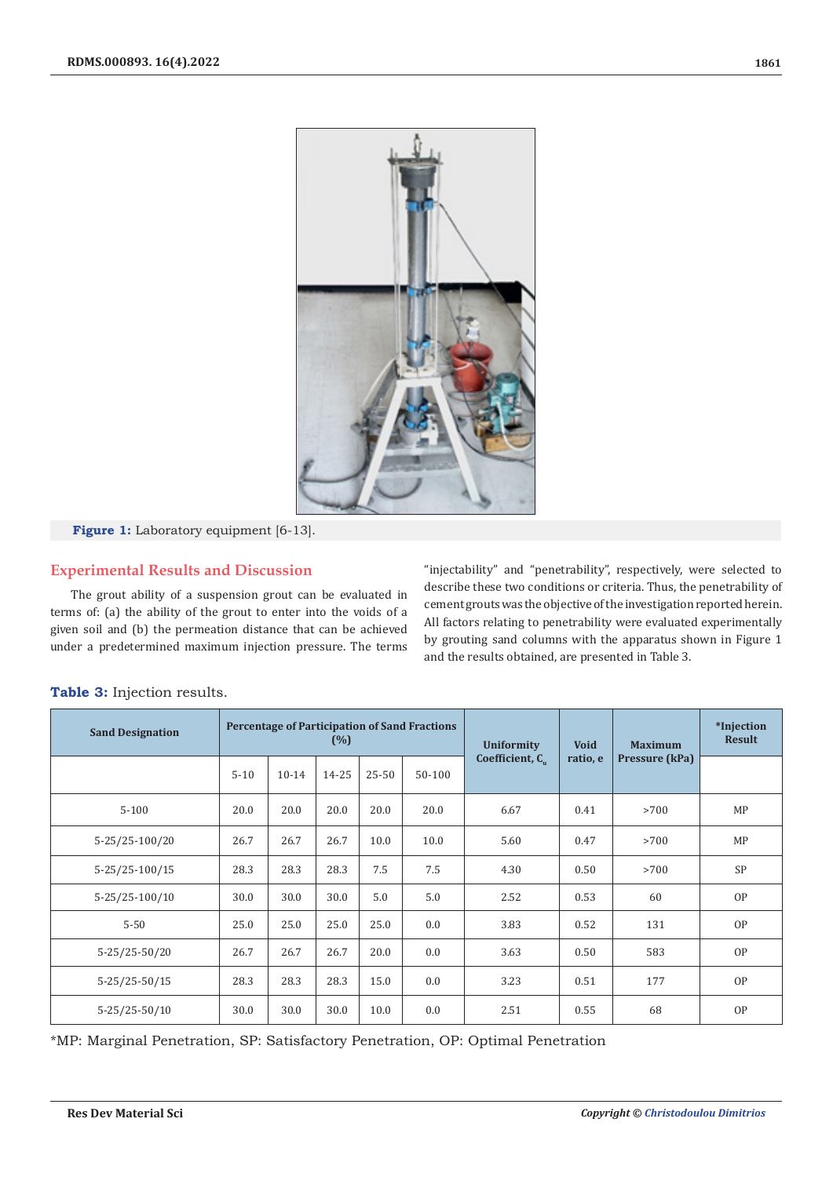

**Figure 1:** Laboratory equipment [6-13].

# **Experimental Results and Discussion**

The grout ability of a suspension grout can be evaluated in terms of: (a) the ability of the grout to enter into the voids of a given soil and (b) the permeation distance that can be achieved under a predetermined maximum injection pressure. The terms

"injectability" and "penetrability", respectively, were selected to describe these two conditions or criteria. Thus, the penetrability of cement grouts was the objective of the investigation reported herein. All factors relating to penetrability were evaluated experimentally by grouting sand columns with the apparatus shown in Figure 1 and the results obtained, are presented in Table 3.

| <b>Sand Designation</b> | <b>Percentage of Participation of Sand Fractions</b><br>(%) |           |       |           |        | <b>Uniformity</b>           | <b>Void</b> | <b>Maximum</b> | *Inject<br>Resu |
|-------------------------|-------------------------------------------------------------|-----------|-------|-----------|--------|-----------------------------|-------------|----------------|-----------------|
|                         | $5 - 10$                                                    | $10 - 14$ | 14-25 | $25 - 50$ | 50-100 | Coefficient, C <sub>.</sub> | ratio, e    | Pressure (kPa) |                 |
| $5 - 100$               | 20.0                                                        | 20.0      | 20.0  | 20.0      | 20.0   | 6.67                        | 0.41        | >700           | MP              |
| 5-25/25-100/20          | 26.7                                                        | 26.7      | 26.7  | 10.0      | 10.0   | 5.60                        | 0.47        | >700           | MP              |
| 5-25/25-100/15          | 28.3                                                        | 28.3      | 28.3  | 7.5       | 7.5    | 4.30                        | 0.50        | >700           | SP              |
| 5-25/25-100/10          | 30.0                                                        | 30.0      | 30.0  | 5.0       | 5.0    | 2.52                        | 0.53        | 60             | OP              |
| $5 - 50$                | 25.0                                                        | 25.0      | 25.0  | 25.0      | 0.0    | 3.83                        | 0.52        | 131            | OP              |
| 5-25/25-50/20           | 26.7                                                        | 26.7      | 26.7  | 20.0      | 0.0    | 3.63                        | 0.50        | 583            | OP              |
| 5-25/25-50/15           | 28.3                                                        | 28.3      | 28.3  | 15.0      | 0.0    | 3.23                        | 0.51        | 177            | OP              |
| 5-25/25-50/10           | 30.0                                                        | 30.0      | 30.0  | 10.0      | 0.0    | 2.51                        | 0.55        | 68             | OP              |

**Table 3:** Injection results.

\*MP: Marginal Penetration, SP: Satisfactory Penetration, OP: Optimal Penetration

**\*Injection Result**